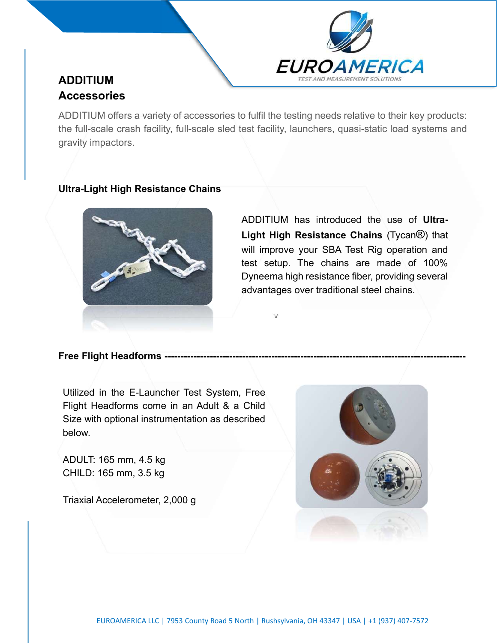

# ADDITIUM **Accessories**

ADDITIUM offers a variety of accessories to fulfil the testing needs relative to their key products: the full-scale crash facility, full-scale sled test facility, launchers, quasi-static load systems and gravity impactors.

v

### Ultra-Light High Resistance Chains



ADDITIUM has introduced the use of Ultra-Light High Resistance Chains (Tycan®) that will improve your SBA Test Rig operation and test setup. The chains are made of 100% Dyneema high resistance fiber, providing several advantages over traditional steel chains.

#### Free Flight Headforms -----

Utilized in the E-Launcher Test System, Free Flight Headforms come in an Adult & a Child Size with optional instrumentation as described below.

ADULT: 165 mm, 4.5 kg CHILD: 165 mm, 3.5 kg

Triaxial Accelerometer, 2,000 g

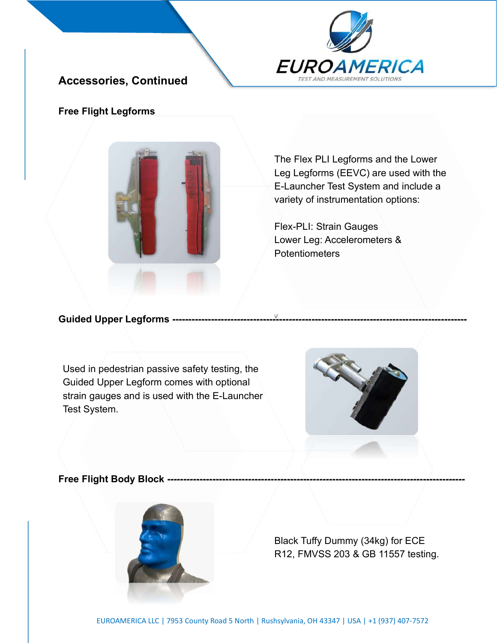

# Accessories, Continued

### Free Flight Legforms



The Flex PLI Legforms and the Lower Leg Legforms (EEVC) are used with the E-Launcher Test System and include a variety of instrumentation options:

Flex-PLI: Strain Gauges Lower Leg: Accelerometers & Potentiometers

## Guided Upper Legforms -----

Used in pedestrian passive safety testing, the Guided Upper Legform comes with optional strain gauges and is used with the E-Launcher Test System.



#### **Free Flight Body Block --------**



Black Tuffy Dummy (34kg) for ECE R12, FMVSS 203 & GB 11557 testing.

v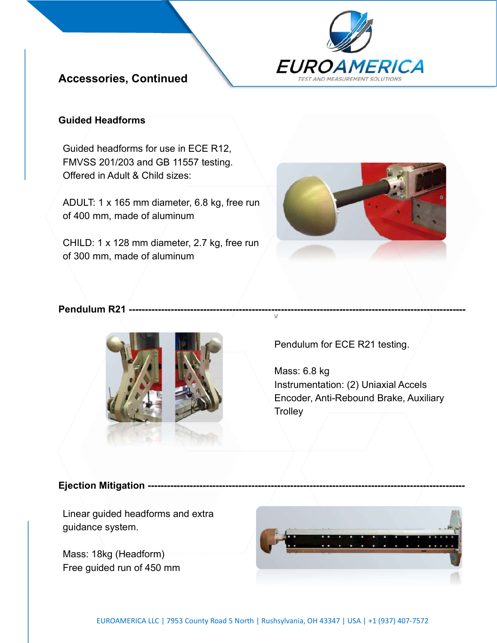

# Accessories, Continued

### Guided Headforms

Guided headforms for use in ECE R12, FMVSS 201/203 and GB 11557 testing. Offered in Adult & Child sizes:

ADULT: 1 x 165 mm diameter, 6.8 kg, free run of 400 mm, made of aluminum

CHILD: 1 x 128 mm diameter, 2.7 kg, free run of 300 mm, made of aluminum



### Pendulum R21 -----------



Pendulum for ECE R21 testing.

v

Mass: 6.8 kg Instrumentation: (2) Uniaxial Accels Encoder, Anti-Rebound Brake, Auxiliary **Trolley** 

#### **Ejection Mitigation -----------**

Linear guided headforms and extra guidance system.

Mass: 18kg (Headform) Free guided run of 450 mm